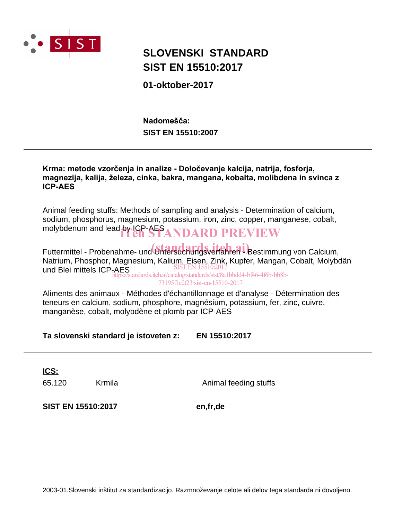

# **SIST EN 15510:2017 SLOVENSKI STANDARD**

**01-oktober-2017**

**SIST EN 15510:2007** Nadomešča:

Krma: metode vzorčenja in analize - Določevanje kalcija, natrija, fosforja, magnezija, kalija, železa, cinka, bakra, mangana, kobalta, molibdena in svinca z **ICP-AES** 

Animal feeding stuffs: Methods of sampling and analysis - Determination of calcium, sodium, phosphorus, magnesium, potassium, iron, zinc, copper, manganese, cobalt, molybdenum and lead by ICP-AFS ANDARD PREVIEW

Futtermittel - Probenahme- und Grand aufgesterfahren 1 Bestimmung von Calcium, Natrium, Phosphor, Magnesium, Kalium, Eisen, Zink, Kupfer, Mangan, Cobalt, Molybdän und Blei mittels ICP-AES https://standards.iteh.ai/catalog/standards/sist/8a1bbdd4-bf46-4f6b-bb8b-

73195f1e2f23/sist-en-15510-2017

Aliments des animaux - Méthodes d'échantillonnage et d'analyse - Détermination des teneurs en calcium, sodium, phosphore, magnésium, potassium, fer, zinc, cuivre, manganèse, cobalt, molybdène et plomb par ICP-AES

**Ta slovenski standard je istoveten z: EN 15510:2017**

**ICS:**

65.120 Krmila Animal feeding stuffs

**SIST EN 15510:2017 en,fr,de**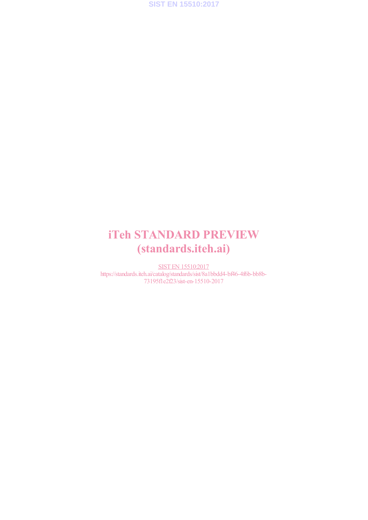

# iTeh STANDARD PREVIEW (standards.iteh.ai)

SIST EN 15510:2017 https://standards.iteh.ai/catalog/standards/sist/8a1bbdd4-bf46-4f6b-bb8b-73195f1e2f23/sist-en-15510-2017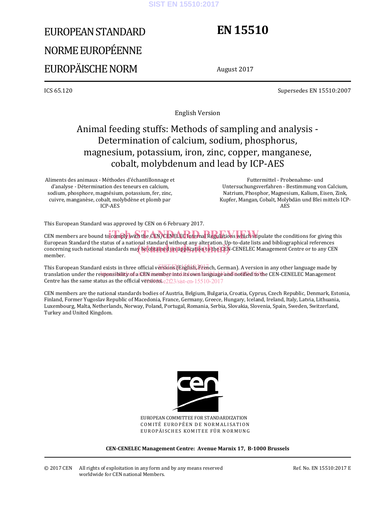#### **SIST EN 15510:2017**

# EUROPEAN STANDARD NORME EUROPÉENNE EUROPÄISCHE NORM

# **EN 15510**

August 2017

ICS 65.120 Supersedes EN 15510:2007

English Version

## Animal feeding stuffs: Methods of sampling and analysis - Determination of calcium, sodium, phosphorus, magnesium, potassium, iron, zinc, copper, manganese, cobalt, molybdenum and lead by ICP-AES

Aliments des animaux - Méthodes d'échantillonnage et d'analyse - Détermination des teneurs en calcium, sodium, phosphore, magnésium, potassium, fer, zinc, cuivre, manganèse, cobalt, molybdène et plomb par ICP-AES

 Futtermittel - Probenahme- und Untersuchungsverfahren - Bestimmung von Calcium, Natrium, Phosphor, Magnesium, Kalium, Eisen, Zink, Kupfer, Mangan, Cobalt, Molybdän und Blei mittels ICP-AES

This European Standard was approved by CEN on 6 February 2017.

CEN members are bound to comply with the CEN/CENELEC Internal Regulations which stipulate the conditions for giving this European Standard the status of a national standard without any alteration. Up-to-date lists and bibliographical references European Standard the status of a hational standard without any alteration. Op-to-date lists and bibliographical references<br>concerning such national standards may be obtained on application to the CEN-CENELEC Management Ce member.

This European Standard exists in three official versions (English, French, German). A version in any other language made by translation under the responsibility of a CEN member into ats own language and notified to the CEN-CENELEC Management Centre has the same status as the official  $\overline{v}$ ggsions. e2f23/sist-en-15510-2017

CEN members are the national standards bodies of Austria, Belgium, Bulgaria, Croatia, Cyprus, Czech Republic, Denmark, Estonia, Finland, Former Yugoslav Republic of Macedonia, France, Germany, Greece, Hungary, Iceland, Ireland, Italy, Latvia, Lithuania, Luxembourg, Malta, Netherlands, Norway, Poland, Portugal, Romania, Serbia, Slovakia, Slovenia, Spain, Sweden, Switzerland, Turkey and United Kingdom.



EUROPEAN COMMITTEE FOR STANDARDIZATION COMITÉ EUROPÉEN DE NORMALISATION EUROPÄISCHES KOMITEE FÜR NORMUNG

**CEN-CENELEC Management Centre: Avenue Marnix 17, B-1000 Brussels** 

© 2017 CEN All rights of exploitation in any form and by any means reserved worldwide for CEN national Members.

Ref. No. EN 15510:2017 E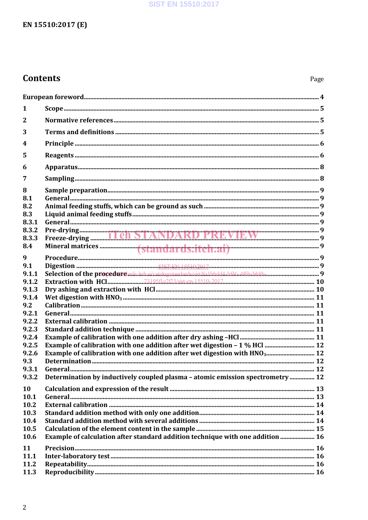#### **SIST EN 15510:2017**

### EN 15510:2017 (E)

### **Contents**

| 1                       |                                                                                       |  |
|-------------------------|---------------------------------------------------------------------------------------|--|
| $\mathbf{2}$            |                                                                                       |  |
| 3                       |                                                                                       |  |
| $\overline{\mathbf{4}}$ |                                                                                       |  |
| 5                       |                                                                                       |  |
| 6                       |                                                                                       |  |
| 7                       |                                                                                       |  |
| 8                       |                                                                                       |  |
| 8.1                     |                                                                                       |  |
| 8.2                     |                                                                                       |  |
| 8.3                     |                                                                                       |  |
| 8.3.1                   |                                                                                       |  |
| 8.3.2                   |                                                                                       |  |
| 8.3.3                   |                                                                                       |  |
| 8.4                     |                                                                                       |  |
|                         |                                                                                       |  |
| 9                       |                                                                                       |  |
| 9.1                     |                                                                                       |  |
| 9.1.1                   |                                                                                       |  |
| 9.1.2                   |                                                                                       |  |
| 9.1.3                   |                                                                                       |  |
| 9.1.4                   |                                                                                       |  |
| 9.2                     |                                                                                       |  |
| 9.2.1                   |                                                                                       |  |
| 9.2.2                   |                                                                                       |  |
| 9.2.3                   |                                                                                       |  |
| 9.2.4                   |                                                                                       |  |
| 9.2.5                   |                                                                                       |  |
| 9.2.6                   | Example of calibration with one addition after wet digestion with HNO <sub>3</sub> 12 |  |
| 9.3                     |                                                                                       |  |
|                         |                                                                                       |  |
| 9.3.2                   | Determination by inductively coupled plasma - atomic emission spectrometry 12         |  |
|                         |                                                                                       |  |
| 10                      |                                                                                       |  |
| 10.1                    |                                                                                       |  |
| 10.2                    |                                                                                       |  |
| 10.3                    |                                                                                       |  |
| 10.4                    |                                                                                       |  |
| 10.5                    |                                                                                       |  |
| 10.6                    | Example of calculation after standard addition technique with one addition  16        |  |
| 11                      |                                                                                       |  |
| 11.1                    |                                                                                       |  |
| 11.2                    |                                                                                       |  |
| 11.3                    |                                                                                       |  |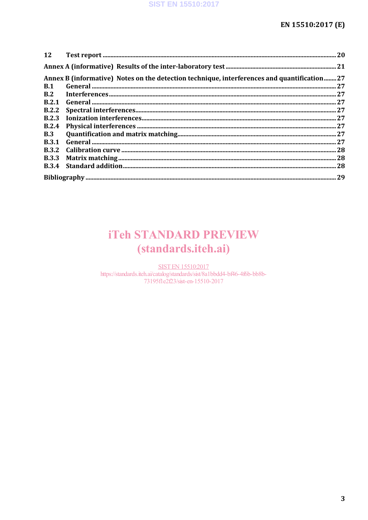| <b>12</b>    |                                                                                            |  |
|--------------|--------------------------------------------------------------------------------------------|--|
|              |                                                                                            |  |
|              | Annex B (informative) Notes on the detection technique, interferences and quantification27 |  |
| <b>B.1</b>   |                                                                                            |  |
| B.2          |                                                                                            |  |
| B.2.1        |                                                                                            |  |
|              |                                                                                            |  |
| <b>B.2.3</b> |                                                                                            |  |
| B.2.4        |                                                                                            |  |
| <b>B.3</b>   |                                                                                            |  |
| <b>B.3.1</b> |                                                                                            |  |
|              |                                                                                            |  |
| <b>B.3.3</b> |                                                                                            |  |
|              |                                                                                            |  |
|              |                                                                                            |  |

# **iTeh STANDARD PREVIEW** (standards.iteh.ai)

**SIST EN 15510:2017** https://standards.iteh.ai/catalog/standards/sist/8a1bbdd4-bf46-4f6b-bb8b-73195fle2f23/sist-en-15510-2017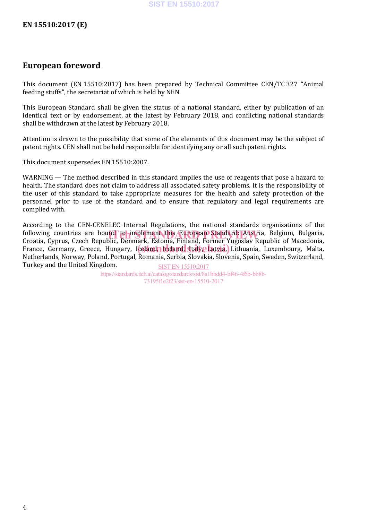### **European foreword**

This document (EN 15510:2017) has been prepared by Technical Committee CEN/TC 327 "Animal feeding stuffs", the secretariat of which is held by NEN.

This European Standard shall be given the status of a national standard, either by publication of an identical text or by endorsement, at the latest by February 2018, and conflicting national standards shall be withdrawn at the latest by February 2018.

Attention is drawn to the possibility that some of the elements of this document may be the subject of patent rights. CEN shall not be held responsible for identifying any or all such patent rights.

This document supersedes EN 15510:2007.

WARNING — The method described in this standard implies the use of reagents that pose a hazard to health. The standard does not claim to address all associated safety problems. It is the responsibility of the user of this standard to take appropriate measures for the health and safety protection of the personnel prior to use of the standard and to ensure that regulatory and legal requirements are complied with.

According to the CEN-CENELEC Internal Regulations, the national standards organisations of the following countries are bound to implement this European Standard: Austria, Belgium, Bulgaria,<br>Croatia Cynrus Czech Republic Denmark Estonia Finland Former Yugoslav Republic of Macedonia Croatia, Cyprus, Czech Republic, Denmark, Estonia, Finland, Former Yugoslav Republic of Macedonia, Ground, Gyprus, Gleen Republic, Berlindary, Islam, Finland, Former Fugoslav Republic of Fraccionna,<br>France, Germany, Greece, Hungary, Icelandy Ireland, Italy, Latvia, Lithuania, Luxembourg, Malta, Netherlands, Norway, Poland, Portugal, Romania, Serbia, Slovakia, Slovenia, Spain, Sweden, Switzerland, Turkey and the United Kingdom. SIST EN 15510:2017

https://standards.iteh.ai/catalog/standards/sist/8a1bbdd4-bf46-4f6b-bb8b-73195f1e2f23/sist-en-15510-2017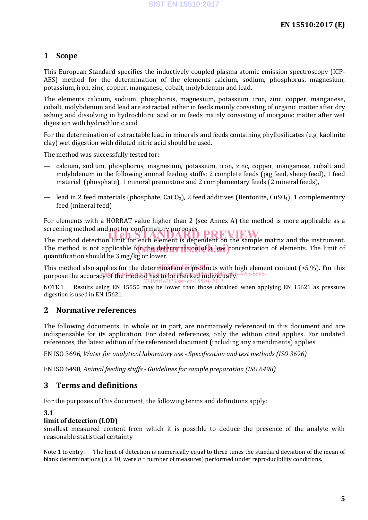#### **1 Scope**

This European Standard specifies the inductively coupled plasma atomic emission spectroscopy (ICP-AES) method for the determination of the elements calcium, sodium, phosphorus, magnesium, potassium, iron, zinc, copper, manganese, cobalt, molybdenum and lead.

The elements calcium, sodium, phosphorus, magnesium, potassium, iron, zinc, copper, manganese, cobalt, molybdenum and lead are extracted either in feeds mainly consisting of organic matter after dry ashing and dissolving in hydrochloric acid or in feeds mainly consisting of inorganic matter after wet digestion with hydrochloric acid.

For the determination of extractable lead in minerals and feeds containing phyllosilicates (e.g. kaolinite clay) wet digestion with diluted nitric acid should be used.

The method was successfully tested for:

- calcium, sodium, phosphorus, magnesium, potassium, iron, zinc, copper, manganese, cobalt and molybdenum in the following animal feeding stuffs: 2 complete feeds (pig feed, sheep feed), 1 feed material (phosphate), 1 mineral premixture and 2 complementary feeds (2 mineral feeds),
- lead in 2 feed materials (phosphate,  $CaCO<sub>3</sub>$ ), 2 feed additives (Bentonite,  $CuSO<sub>4</sub>$ ), 1 complementary feed (mineral feed)

For elements with a HORRAT value higher than 2 (see Annex A) the method is more applicable as a screening method and not for confirmatory purposes.

The method detection limit for each element is dependent on the sample matrix and the instrument. The method is not applicable for the determination of a low concentration of elements. The limit of method is not applicable for the determination of a low concentration of elements. The limit of quantification should be 3 mg/kg or lower.

This method also applies for the determination in products with high element content (>5 %). For this purpose the accuracy of the method nast depended in the multiple 4f6b-bb8b-73195f1e2f23/sist-en-15510-2017

NOTE 1 Results using EN 15550 may be lower than those obtained when applying EN 15621 as pressure digestion is used in EN 15621.

#### **2 Normative references**

The following documents, in whole or in part, are normatively referenced in this document and are indispensable for its application. For dated references, only the edition cited applies. For undated references, the latest edition of the referenced document (including any amendments) applies.

EN ISO 3696, *Water for analytical laboratory use - Specification and test methods (ISO 3696)*

EN ISO 6498, *Animal feeding stuffs - Guidelines for sample preparation (ISO 6498)*

#### **3 Terms and definitions**

For the purposes of this document, the following terms and definitions apply:

#### **3.1**

#### **limit of detection (LOD)**

smallest measured content from which it is possible to deduce the presence of the analyte with reasonable statistical certainty

Note 1 to entry: The limit of detection is numerically equal to three times the standard deviation of the mean of blank determinations ( $n \ge 10$ , were  $n =$  number of measures) performed under reproducibility conditions.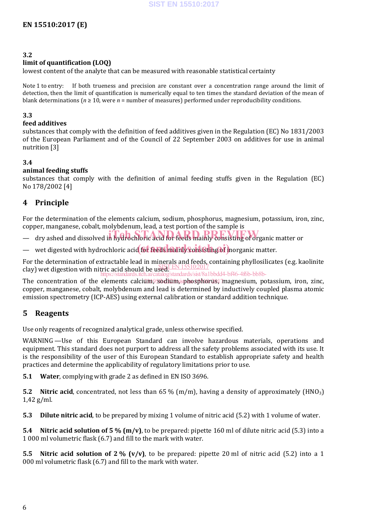#### **3.2**

#### **limit of quantification (LOQ)**

lowest content of the analyte that can be measured with reasonable statistical certainty

Note 1 to entry: If both trueness and precision are constant over a concentration range around the limit of detection, then the limit of quantification is numerically equal to ten times the standard deviation of the mean of blank determinations ( $n \ge 10$ , were  $n =$  number of measures) performed under reproducibility conditions.

#### **3.3**

#### **feed additives**

substances that comply with the definition of feed additives given in the Regulation (EC) No 1831/2003 of the European Parliament and of the Council of 22 September 2003 on additives for use in animal nutrition [3]

#### **3.4**

#### **animal feeding stuffs**

substances that comply with the definition of animal feeding stuffs given in the Regulation (EC) No 178/2002 [4]

#### **4 Principle**

For the determination of the elements calcium, sodium, phosphorus, magnesium, potassium, iron, zinc, copper, manganese, cobalt, molybdenum, lead, a test portion of the sample is

experiment of the state, and in hydrochloric acid for feeds mainly consisting of organic matter or

— wet digested with hydrochloric acid for feeds mainly consisting of inorganic matter.

For the determination of extractable lead in minerals and feeds, containing phyllosilicates (e.g. kaolinite clay) wet digestion with nitric acid should be used.<br>Clay) wet digestion with nitric acid should be used.  $\frac{1}{\frac{1}{\sqrt{1-\frac{1}{\sqrt{1-\frac{1}{\sqrt{1-\frac{1}{\sqrt{1-\frac{1}{\sqrt{1-\frac{1}{\sqrt{1-\frac{1}{\sqrt{1-\frac{1}{\sqrt{1-\frac{1}{\sqrt{1-\frac{1}{\sqrt{1-\frac{1}{\sqrt{1-\frac{1}{\sqrt{1-\frac{1}{\sqrt{1-\frac{1}{\sqrt{1-\frac{1}{\sqrt{1-\frac{1}{\sqrt{1-\frac{1}{\sqrt{1-\frac{1}{\sqrt{1-\frac{1}{\sqrt{1-\frac{1}{\sqrt{1-\frac{1}{\sqrt{1-\frac{1}{\sqrt{1-\frac{1}{\sqrt{1-\frac{1}{\sqrt{$ 

The concentration of the elements calci<del>um, sodium, sphosphorus, mag</del>nesium, potassium, iron, zinc, copper, manganese, cobalt, molybdenum and lead is determined by inductively coupled plasma atomic emission spectrometry (ICP-AES) using external calibration or standard addition technique.

#### **5 Reagents**

Use only reagents of recognized analytical grade, unless otherwise specified.

WARNING —Use of this European Standard can involve hazardous materials, operations and equipment. This standard does not purport to address all the safety problems associated with its use. It is the responsibility of the user of this European Standard to establish appropriate safety and health practices and determine the applicability of regulatory limitations prior to use.

**5.1 Water**, complying with grade 2 as defined in EN ISO 3696.

**5.2 Nitric acid**, concentrated, not less than 65 % (m/m), having a density of approximately (HNO<sub>3</sub>) 1,42 g/ml.

**5.3 Dilute nitric acid**, to be prepared by mixing 1 volume of nitric acid (5.2) with 1 volume of water.

**5.4 Nitric acid solution of 5 % (m/v)**, to be prepared: pipette 160 ml of dilute nitric acid (5.3) into a 1 000 ml volumetric flask (6.7) and fill to the mark with water.

**5.5 Nitric acid solution of 2 % (v/v)**, to be prepared: pipette 20 ml of nitric acid (5.2) into a 1 000 ml volumetric flask (6.7) and fill to the mark with water.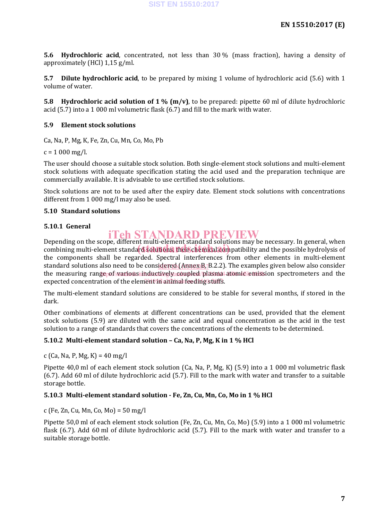**5.6 Hydrochloric acid**, concentrated, not less than 30 % (mass fraction), having a density of approximately (HCl) 1,15 g/ml.

**5.7 Dilute hydrochloric acid**, to be prepared by mixing 1 volume of hydrochloric acid (5.6) with 1 volume of water.

**5.8 Hydrochloric acid solution of 1 % (m/v)**, to be prepared: pipette 60 ml of dilute hydrochloric acid (5.7) into a 1 000 ml volumetric flask (6.7) and fill to the mark with water.

#### **5.9 Element stock solutions**

Ca, Na, P, Mg, K, Fe, Zn, Cu, Mn, Co, Mo, Pb

 $c = 1000$  mg/l.

The user should choose a suitable stock solution. Both single-element stock solutions and multi-element stock solutions with adequate specification stating the acid used and the preparation technique are commercially available. It is advisable to use certified stock solutions.

Stock solutions are not to be used after the expiry date. Element stock solutions with concentrations different from 1 000 mg/l may also be used.

#### **5.10 Standard solutions**

#### **5.10.1 General**

### iTeh STANDARD PREVIEW

Depending on the scope, different multi-element standard solutions may be necessary. In general, when bepending on the scope, unterent multi-element standard solutions hay be hecessary. In general, when<br>combining multi-element standard solutions, their chemical compatibility and the possible hydrolysis of the components shall be regarded. Spectral interferences from other elements in multi-element standard solutions also need to be cons<u>idered (Annex B, </u>B.2.2). The examples given below also consider the measuring range<sub>p</sub>of various inductively coupled plasma atomic emission spectrometers and the expected concentration of the element in animal feeding stuffs.

The multi-element standard solutions are considered to be stable for several months, if stored in the dark.

Other combinations of elements at different concentrations can be used, provided that the element stock solutions (5.9) are diluted with the same acid and equal concentration as the acid in the test solution to a range of standards that covers the concentrations of the elements to be determined.

#### **5.10.2 Multi-element standard solution – Ca, Na, P, Mg, K in 1 % HCl**

c (Ca, Na, P, Mg, K) = 40 mg/l

Pipette 40,0 ml of each element stock solution (Ca, Na, P, Mg, K) (5.9) into a 1 000 ml volumetric flask (6.7). Add 60 ml of dilute hydrochloric acid (5.7). Fill to the mark with water and transfer to a suitable storage bottle.

#### **5.10.3 Multi-element standard solution - Fe, Zn, Cu, Mn, Co, Mo in 1 % HCl**

c (Fe, Zn, Cu, Mn, Co, Mo) = 50 mg/l

Pipette 50,0 ml of each element stock solution (Fe, Zn, Cu, Mn, Co, Mo) (5.9) into a 1 000 ml volumetric flask (6.7). Add 60 ml of dilute hydrochloric acid (5.7). Fill to the mark with water and transfer to a suitable storage bottle.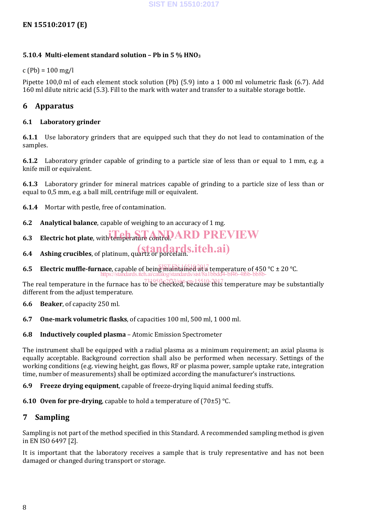#### **EN 15510:2017 (E)**

#### **5.10.4 Multi-element standard solution – Pb in 5 % HNO3**

 $c$  (Pb) = 100 mg/l

Pipette 100,0 ml of each element stock solution (Pb) (5.9) into a 1 000 ml volumetric flask (6.7). Add 160 ml dilute nitric acid (5.3). Fill to the mark with water and transfer to a suitable storage bottle.

#### **6 Apparatus**

#### **6.1 Laboratory grinder**

**6.1.1** Use laboratory grinders that are equipped such that they do not lead to contamination of the samples.

**6.1.2** Laboratory grinder capable of grinding to a particle size of less than or equal to 1 mm, e.g. a knife mill or equivalent.

**6.1.3** Laboratory grinder for mineral matrices capable of grinding to a particle size of less than or equal to 0,5 mm, e.g. a ball mill, centrifuge mill or equivalent.

**6.1.4** Mortar with pestle, free of contamination.

- **6.2 Analytical balance**, capable of weighing to an accuracy of 1 mg.
- **6.3** Electric hot plate, with temperature control. ARD PREVIEW
- **6.4** Ashing crucibles, of platinum, quartz or porcelain. **if ch.ai**)
- **6.5 Electric muffle-furnace**, capable of being math dined at a temperature of 450  $^{\circ}$ C ± 20  $^{\circ}$ C. https://standards.iteh.ai/catalog/standards/sist/8a1bbdd4-bf46-4f6b-bb8b-

The real temperature in the furnace has to be checked, because this temperature may be substantially different from the adjust temperature.

**6.6 Beaker**, of capacity 250 ml.

- **6.7 One-mark volumetric flasks**, of capacities 100 ml, 500 ml, 1 000 ml.
- **6.8 Inductively coupled plasma** Atomic Emission Spectrometer

The instrument shall be equipped with a radial plasma as a minimum requirement; an axial plasma is equally acceptable. Background correction shall also be performed when necessary. Settings of the working conditions (e.g. viewing height, gas flows, RF or plasma power, sample uptake rate, integration time, number of measurements) shall be optimized according the manufacturer's instructions.

**6.9 Freeze drying equipment**, capable of freeze-drying liquid animal feeding stuffs.

**6.10 Oven for pre-drying**, capable to hold a temperature of (70±5) °C.

### **7 Sampling**

Sampling is not part of the method specified in this Standard. A recommended sampling method is given in EN ISO 6497 [2].

It is important that the laboratory receives a sample that is truly representative and has not been damaged or changed during transport or storage.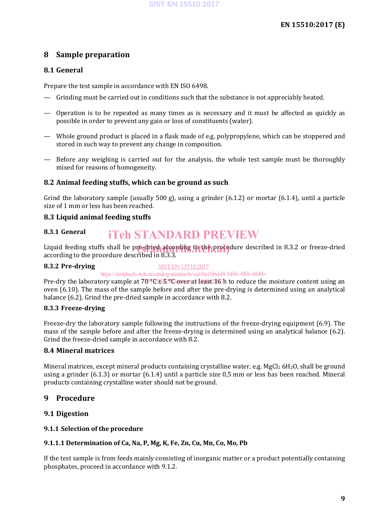### **8 Sample preparation**

#### **8.1 General**

Prepare the test sample in accordance with EN ISO 6498.

- Grinding must be carried out in conditions such that the substance is not appreciably heated.
- Operation is to be repeated as many times as is necessary and it must be affected as quickly as possible in order to prevent any gain or loss of constituents (water).
- Whole ground product is placed in a flask made of e.g. polypropylene, which can be stoppered and stored in such way to prevent any change in composition.
- Before any weighing is carried out for the analysis, the whole test sample must be thoroughly mixed for reasons of homogeneity.

#### **8.2 Animal feeding stuffs, which can be ground as such**

Grind the laboratory sample (usually 500 g), using a grinder  $(6.1.2)$  or mortar  $(6.1.4)$ , until a particle size of 1 mm or less has been reached.

#### **8.3 Liquid animal feeding stuffs**

#### **8.3.1 General** iTeh STANDARD PREVIEW

Liquid feeding stuffs shall be pre-dried according to the procedure described in 8.3.2 or freeze-dried<br>according to the procedure described in 8.3.3 according to the procedure described in 8.3.3.

#### **8.3.2 Pre-drying**

#### SIST EN 15510:2017

https://standards.iteh.ai/catalog/standards/sist/8a1bbdd4-bf46-4f6b-bb8b-

Pre-dry the laboratory sample at 70 °C ± 5 °C over at least 167h to reduce the moisture content using an oven (6.10). The mass of the sample before and after the pre-drying is determined using an analytical balance (6.2). Grind the pre-dried sample in accordance with 8.2.

#### **8.3.3 Freeze-drying**

Freeze-dry the laboratory sample following the instructions of the freeze-drying equipment (6.9). The mass of the sample before and after the freeze-drying is determined using an analytical balance (6.2). Grind the freeze-dried sample in accordance with 8.2.

#### **8.4 Mineral matrices**

Mineral matrices, except mineral products containing crystalline water, e.g.  $MgCl<sub>2</sub> 6H<sub>2</sub>O$ , shall be ground using a grinder (6.1.3) or mortar (6.1.4) until a particle size 0,5 mm or less has been reached. Mineral products containing crystalline water should not be ground.

#### **9 Procedure**

#### **9.1 Digestion**

#### **9.1.1 Selection of the procedure**

#### **9.1.1.1 Determination of Ca, Na, P, Mg, K, Fe, Zn, Cu, Mn, Co, Mo, Pb**

If the test sample is from feeds mainly consisting of inorganic matter or a product potentially containing phosphates, proceed in accordance with 9.1.2.